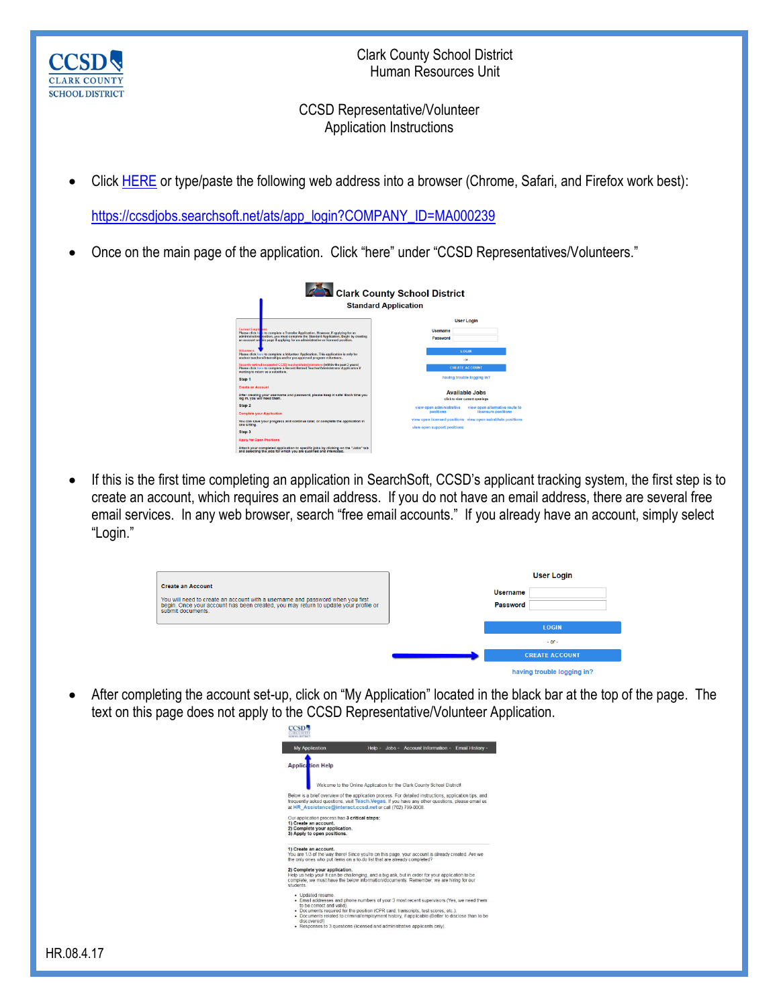

Clark County School District Human Resources Unit

## CCSD Representative/Volunteer Application Instructions

Click [HERE](https://ccsdjobs.searchsoft.net/ats/app_login?COMPANY_ID=MA000239) or type/paste the following web address into a browser (Chrome, Safari, and Firefox work best):

[https://ccsdjobs.searchsoft.net/ats/app\\_login?COMPANY\\_ID=MA000239](https://ccsdjobs.searchsoft.net/ats/app_login?COMPANY_ID=MA000239)

• Once on the main page of the application. Click "here" under "CCSD Representatives/Volunteers."



 If this is the first time completing an application in SearchSoft, CCSD's applicant tracking system, the first step is to create an account, which requires an email address. If you do not have an email address, there are several free email services. In any web browser, search "free email accounts." If you already have an account, simply select "Login."

|                                                                                                                                                                                                                        | <b>User Login</b>           |
|------------------------------------------------------------------------------------------------------------------------------------------------------------------------------------------------------------------------|-----------------------------|
| <b>Create an Account</b><br>You will need to create an account with a username and password when you first<br>begin. Once your account has been created, you may return to update your profile or<br>submit documents. | <b>Username</b><br>Password |
|                                                                                                                                                                                                                        | <b>LOGIN</b>                |
|                                                                                                                                                                                                                        | $-$ or $-$                  |
|                                                                                                                                                                                                                        | <b>CREATE ACCOUNT</b>       |
|                                                                                                                                                                                                                        | having trouble logging in?  |

 After completing the account set-up, click on "My Application" located in the black bar at the top of the page. The text on this page does not apply to the CCSD Representative/Volunteer Application.

| <b>My Application</b>                                                  | Jobs - Account Information - Email History -<br>Help -                                                                                                                                                                                                                   |
|------------------------------------------------------------------------|--------------------------------------------------------------------------------------------------------------------------------------------------------------------------------------------------------------------------------------------------------------------------|
| <b>Application Help</b>                                                | Welcome to the Online Application for the Clark County School District!                                                                                                                                                                                                  |
|                                                                        |                                                                                                                                                                                                                                                                          |
|                                                                        | Below is a brief overview of the application process. For detailed instructions, application tips, and<br>frequently asked questions, visit Teach, Vegas, If you have any other questions, please email us<br>at HR Assistance@interact.ccsd.net or call (702) 799-0008. |
| Our application process has 3 critical steps:<br>1) Create an account. |                                                                                                                                                                                                                                                                          |
| 2) Complete your application.<br>3) Apply to open positions.           |                                                                                                                                                                                                                                                                          |
| 1) Create an account.                                                  | You are 1/3 of the way there! Since you're on this page, your account is already created. Are we<br>the only ones who put items on a to-do list that are already completed?                                                                                              |
| 2) Complete your application.<br>students                              | Help us help youl It can be challenging, and a big ask, but in order for your application to be<br>complete, we must have the below information/documents. Remember, we are hiring for our                                                                               |